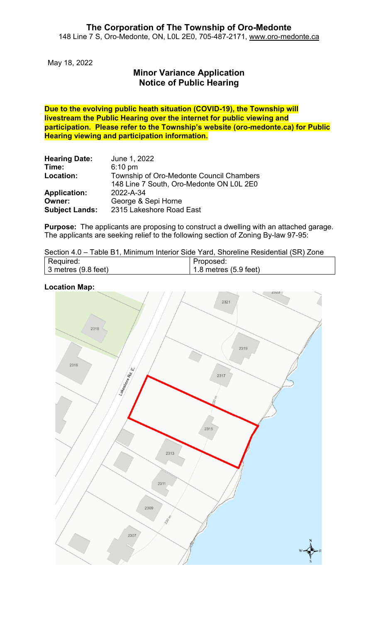May 18, 2022

# **Minor Variance Application Notice of Public Hearing**

**Due to the evolving public heath situation (COVID-19), the Township will livestream the Public Hearing over the internet for public viewing and participation. Please refer to the Township's website (oro-medonte.ca) for Public Hearing viewing and participation information.**

| <b>Hearing Date:</b>  | June 1, 2022                             |
|-----------------------|------------------------------------------|
| Time:                 | $6:10$ pm                                |
| Location:             | Township of Oro-Medonte Council Chambers |
|                       | 148 Line 7 South, Oro-Medonte ON L0L 2E0 |
| <b>Application:</b>   | 2022-A-34                                |
| Owner:                | George & Sepi Horne                      |
| <b>Subject Lands:</b> | 2315 Lakeshore Road East                 |

**Purpose:** The applicants are proposing to construct a dwelling with an attached garage. The applicants are seeking relief to the following section of Zoning By-law 97-95:

| Section 4.0 – Table B1, Minimum Interior Side Yard, Shoreline Residential (SR) Zone |  |  |  |  |  |
|-------------------------------------------------------------------------------------|--|--|--|--|--|
|-------------------------------------------------------------------------------------|--|--|--|--|--|

| Required:                   | Proposed:                       |
|-----------------------------|---------------------------------|
| $\vert$ 3 metres (9.8 feet) | 1.8 metres $(5.9 \text{ feet})$ |

#### **Location Map:**

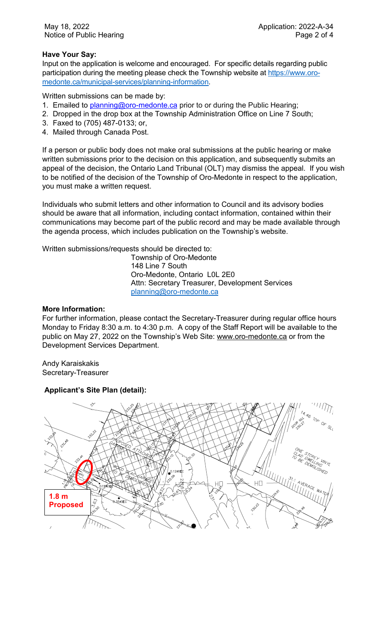## **Have Your Say:**

Input on the application is welcome and encouraged. For specific details regarding public participation during the meeting please check the Township website at [https://www.oro](https://www.oro-medonte.ca/municipal-services/planning-information)[medonte.ca/municipal-services/planning-information.](https://www.oro-medonte.ca/municipal-services/planning-information)

Written submissions can be made by:

- 1. Emailed to **planning@oro-medonte.ca** prior to or during the Public Hearing;
- 2. Dropped in the drop box at the Township Administration Office on Line 7 South;
- 3. Faxed to (705) 487-0133; or,
- 4. Mailed through Canada Post.

If a person or public body does not make oral submissions at the public hearing or make written submissions prior to the decision on this application, and subsequently submits an appeal of the decision, the Ontario Land Tribunal (OLT) may dismiss the appeal. If you wish to be notified of the decision of the Township of Oro-Medonte in respect to the application, you must make a written request.

Individuals who submit letters and other information to Council and its advisory bodies should be aware that all information, including contact information, contained within their communications may become part of the public record and may be made available through the agenda process, which includes publication on the Township's website.

Written submissions/requests should be directed to:

Township of Oro-Medonte 148 Line 7 South Oro-Medonte, Ontario L0L 2E0 Attn: Secretary Treasurer, Development Services [planning@oro-medonte.ca](mailto:planning@oro-medonte.ca)

#### **More Information:**

For further information, please contact the Secretary-Treasurer during regular office hours Monday to Friday 8:30 a.m. to 4:30 p.m. A copy of the Staff Report will be available to the public on May 27, 2022 on the Township's Web Site: [www.oro-medonte.ca](http://www.oro-medonte.ca/) or from the Development Services Department.

Andy Karaiskakis Secretary-Treasurer

## **Applicant's Site Plan (detail):**

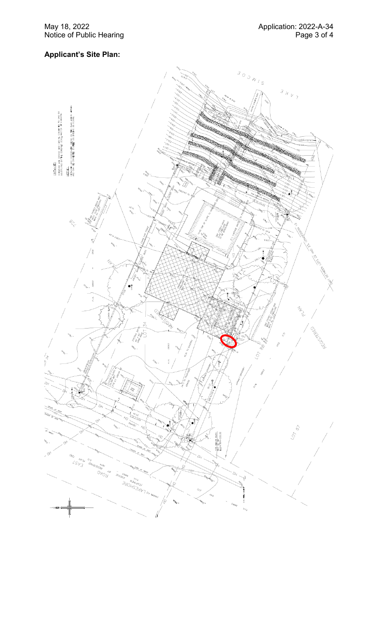# **Applicant 's Site Plan:**